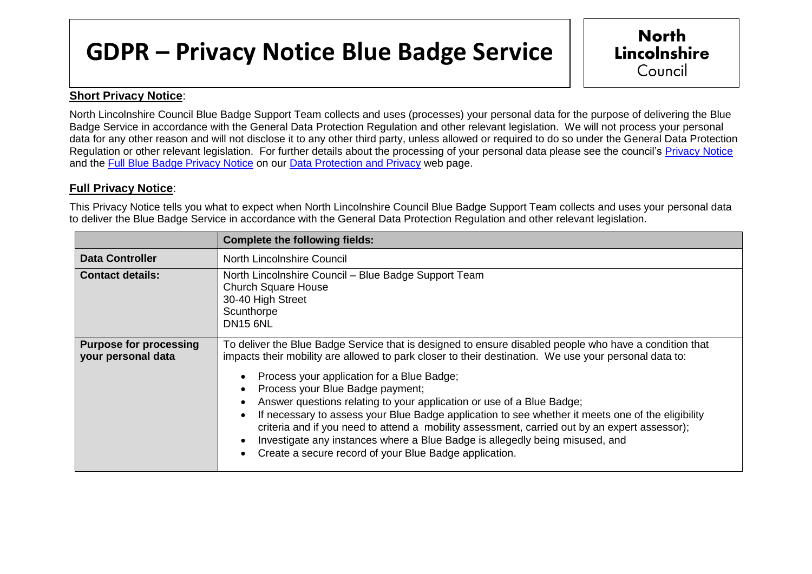## **GDPR – Privacy Notice Blue Badge Service**

## **Short Privacy Notice**:

North Lincolnshire Council Blue Badge Support Team collects and uses (processes) your personal data for the purpose of delivering the Blue Badge Service in accordance with the General Data Protection Regulation and other relevant legislation. We will not process your personal data for any other reason and will not disclose it to any other third party, unless allowed or required to do so under the General Data Protection Regulation or other relevant legislation. For further details about the processing of your personal data please see the council's [Privacy Notice](http://www.northlincs.gov.uk/site/privacy/) and the [Full Blue Badge Privacy Notice](https://www.northlincs.gov.uk/your-council/about-your-council/information-and-performance/information-governance/data-protection-and-privacy/) on our [Data Protection and Privacy](http://www.northlincs.gov.uk/your-council/information-and-performance/information-governance/dataprotection/) web page.

## **Full Privacy Notice**:

This Privacy Notice tells you what to expect when North Lincolnshire Council Blue Badge Support Team collects and uses your personal data to deliver the Blue Badge Service in accordance with the General Data Protection Regulation and other relevant legislation.

|                                                     | <b>Complete the following fields:</b>                                                                                                                                                                                                                                                                                                                                                                                                                                                                                                                                                                                                                                                                                      |
|-----------------------------------------------------|----------------------------------------------------------------------------------------------------------------------------------------------------------------------------------------------------------------------------------------------------------------------------------------------------------------------------------------------------------------------------------------------------------------------------------------------------------------------------------------------------------------------------------------------------------------------------------------------------------------------------------------------------------------------------------------------------------------------------|
| <b>Data Controller</b>                              | North Lincolnshire Council                                                                                                                                                                                                                                                                                                                                                                                                                                                                                                                                                                                                                                                                                                 |
| <b>Contact details:</b>                             | North Lincolnshire Council - Blue Badge Support Team<br><b>Church Square House</b><br>30-40 High Street<br>Scunthorpe<br><b>DN15 6NL</b>                                                                                                                                                                                                                                                                                                                                                                                                                                                                                                                                                                                   |
| <b>Purpose for processing</b><br>your personal data | To deliver the Blue Badge Service that is designed to ensure disabled people who have a condition that<br>impacts their mobility are allowed to park closer to their destination. We use your personal data to:<br>Process your application for a Blue Badge;<br>Process your Blue Badge payment;<br>Answer questions relating to your application or use of a Blue Badge;<br>If necessary to assess your Blue Badge application to see whether it meets one of the eligibility<br>criteria and if you need to attend a mobility assessment, carried out by an expert assessor);<br>Investigate any instances where a Blue Badge is allegedly being misused, and<br>Create a secure record of your Blue Badge application. |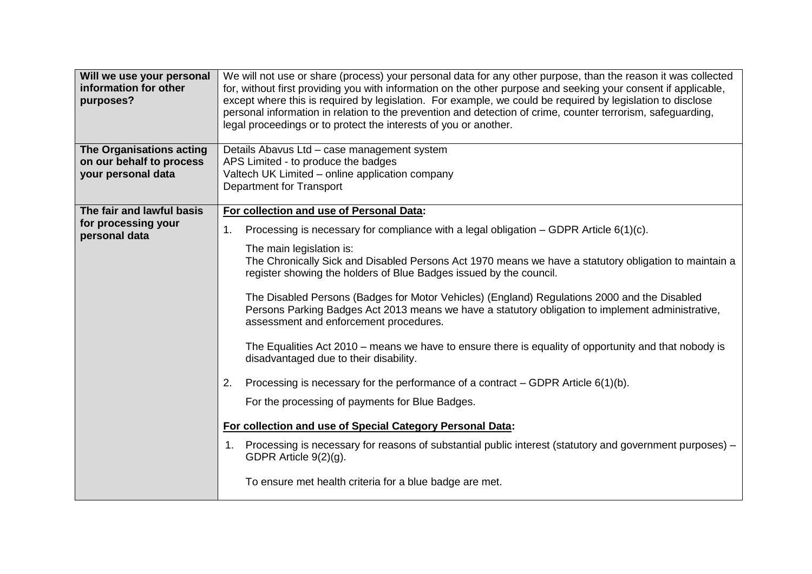| Will we use your personal<br>information for other<br>purposes?<br>The Organisations acting | We will not use or share (process) your personal data for any other purpose, than the reason it was collected<br>for, without first providing you with information on the other purpose and seeking your consent if applicable,<br>except where this is required by legislation. For example, we could be required by legislation to disclose<br>personal information in relation to the prevention and detection of crime, counter terrorism, safeguarding,<br>legal proceedings or to protect the interests of you or another.<br>Details Abavus Ltd - case management system |
|---------------------------------------------------------------------------------------------|---------------------------------------------------------------------------------------------------------------------------------------------------------------------------------------------------------------------------------------------------------------------------------------------------------------------------------------------------------------------------------------------------------------------------------------------------------------------------------------------------------------------------------------------------------------------------------|
| on our behalf to process                                                                    | APS Limited - to produce the badges                                                                                                                                                                                                                                                                                                                                                                                                                                                                                                                                             |
| your personal data                                                                          | Valtech UK Limited - online application company                                                                                                                                                                                                                                                                                                                                                                                                                                                                                                                                 |
|                                                                                             | <b>Department for Transport</b>                                                                                                                                                                                                                                                                                                                                                                                                                                                                                                                                                 |
| The fair and lawful basis                                                                   | For collection and use of Personal Data:                                                                                                                                                                                                                                                                                                                                                                                                                                                                                                                                        |
| for processing your<br>personal data                                                        | Processing is necessary for compliance with a legal obligation – GDPR Article $6(1)(c)$ .<br>1.                                                                                                                                                                                                                                                                                                                                                                                                                                                                                 |
|                                                                                             | The main legislation is:<br>The Chronically Sick and Disabled Persons Act 1970 means we have a statutory obligation to maintain a<br>register showing the holders of Blue Badges issued by the council.                                                                                                                                                                                                                                                                                                                                                                         |
|                                                                                             | The Disabled Persons (Badges for Motor Vehicles) (England) Regulations 2000 and the Disabled<br>Persons Parking Badges Act 2013 means we have a statutory obligation to implement administrative,<br>assessment and enforcement procedures.                                                                                                                                                                                                                                                                                                                                     |
|                                                                                             | The Equalities Act 2010 - means we have to ensure there is equality of opportunity and that nobody is<br>disadvantaged due to their disability.                                                                                                                                                                                                                                                                                                                                                                                                                                 |
|                                                                                             | Processing is necessary for the performance of a contract – GDPR Article $6(1)(b)$ .<br>2.                                                                                                                                                                                                                                                                                                                                                                                                                                                                                      |
|                                                                                             | For the processing of payments for Blue Badges.                                                                                                                                                                                                                                                                                                                                                                                                                                                                                                                                 |
|                                                                                             | For collection and use of Special Category Personal Data:                                                                                                                                                                                                                                                                                                                                                                                                                                                                                                                       |
|                                                                                             | 1. Processing is necessary for reasons of substantial public interest (statutory and government purposes) –<br>GDPR Article 9(2)(g).                                                                                                                                                                                                                                                                                                                                                                                                                                            |
|                                                                                             | To ensure met health criteria for a blue badge are met.                                                                                                                                                                                                                                                                                                                                                                                                                                                                                                                         |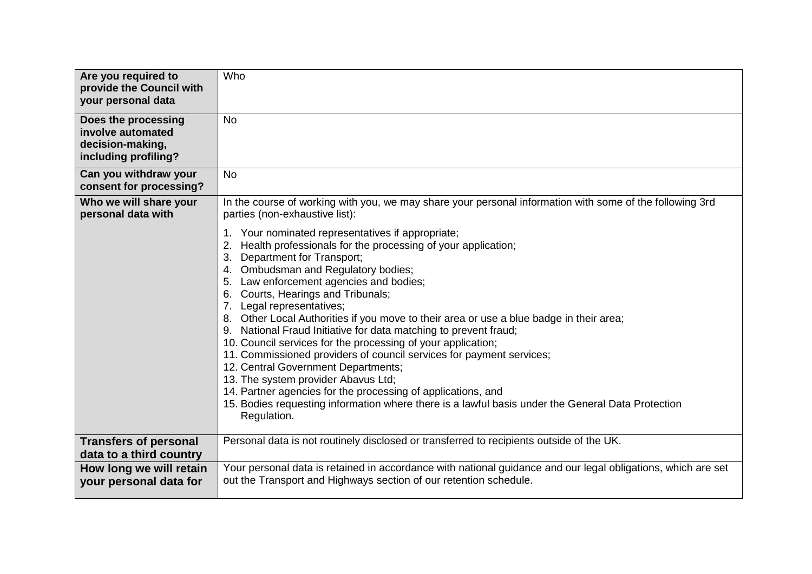| Are you required to<br>provide the Council with<br>your personal data                | Who                                                                                                                                                                                                                                                                                                                                                                                                                                                                                                                                                                                                                                                                                                                                                                                                                                                                                   |
|--------------------------------------------------------------------------------------|---------------------------------------------------------------------------------------------------------------------------------------------------------------------------------------------------------------------------------------------------------------------------------------------------------------------------------------------------------------------------------------------------------------------------------------------------------------------------------------------------------------------------------------------------------------------------------------------------------------------------------------------------------------------------------------------------------------------------------------------------------------------------------------------------------------------------------------------------------------------------------------|
| Does the processing<br>involve automated<br>decision-making,<br>including profiling? | <b>No</b>                                                                                                                                                                                                                                                                                                                                                                                                                                                                                                                                                                                                                                                                                                                                                                                                                                                                             |
| Can you withdraw your<br>consent for processing?                                     | <b>No</b>                                                                                                                                                                                                                                                                                                                                                                                                                                                                                                                                                                                                                                                                                                                                                                                                                                                                             |
| Who we will share your<br>personal data with                                         | In the course of working with you, we may share your personal information with some of the following 3rd<br>parties (non-exhaustive list):                                                                                                                                                                                                                                                                                                                                                                                                                                                                                                                                                                                                                                                                                                                                            |
|                                                                                      | Your nominated representatives if appropriate;<br>1.<br>Health professionals for the processing of your application;<br>Department for Transport;<br>3.<br>4. Ombudsman and Regulatory bodies;<br>5. Law enforcement agencies and bodies;<br>6. Courts, Hearings and Tribunals;<br>7. Legal representatives;<br>8. Other Local Authorities if you move to their area or use a blue badge in their area;<br>9. National Fraud Initiative for data matching to prevent fraud;<br>10. Council services for the processing of your application;<br>11. Commissioned providers of council services for payment services;<br>12. Central Government Departments;<br>13. The system provider Abavus Ltd;<br>14. Partner agencies for the processing of applications, and<br>15. Bodies requesting information where there is a lawful basis under the General Data Protection<br>Regulation. |
| <b>Transfers of personal</b><br>data to a third country                              | Personal data is not routinely disclosed or transferred to recipients outside of the UK.                                                                                                                                                                                                                                                                                                                                                                                                                                                                                                                                                                                                                                                                                                                                                                                              |
| How long we will retain<br>your personal data for                                    | Your personal data is retained in accordance with national guidance and our legal obligations, which are set<br>out the Transport and Highways section of our retention schedule.                                                                                                                                                                                                                                                                                                                                                                                                                                                                                                                                                                                                                                                                                                     |